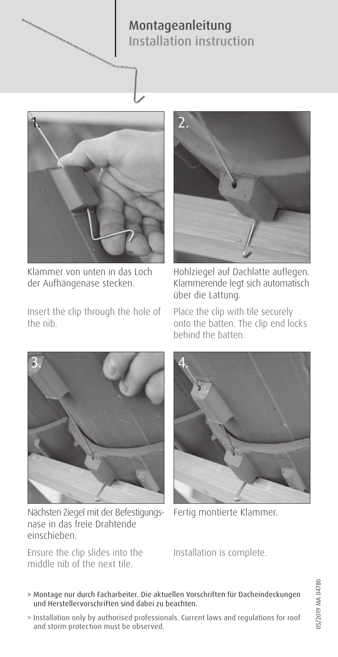## Montageanleitung Installation instruction



Klammer von unten in das Loch der Aufhängenase stecken.

Insert the clip through the hole of the nib.



Hohlziegel auf Dachlatte auflegen. Klammerende legt sich automatisch über die Lattung.

Place the clip with tile securely onto the batten. The clip end locks behind the batten.



Nächsten Ziegel mit der Befestigungsnase in das freie Drahtende einschieben.

Ensure the clip slides into the middle nib of the next tile.



Fertig montierte Klammer.

Installation is complete.

- 05/2019 MA 04780 05/2019 MA 04780
- > Montage nur durch Facharbeiter. Die aktuellen Vorschriften für Dacheindeckungen und Herstellervorschriften sind dabei zu beachten.
- > Installation only by authorised professionals. Current laws and regulations for roof and storm protection must be observed.